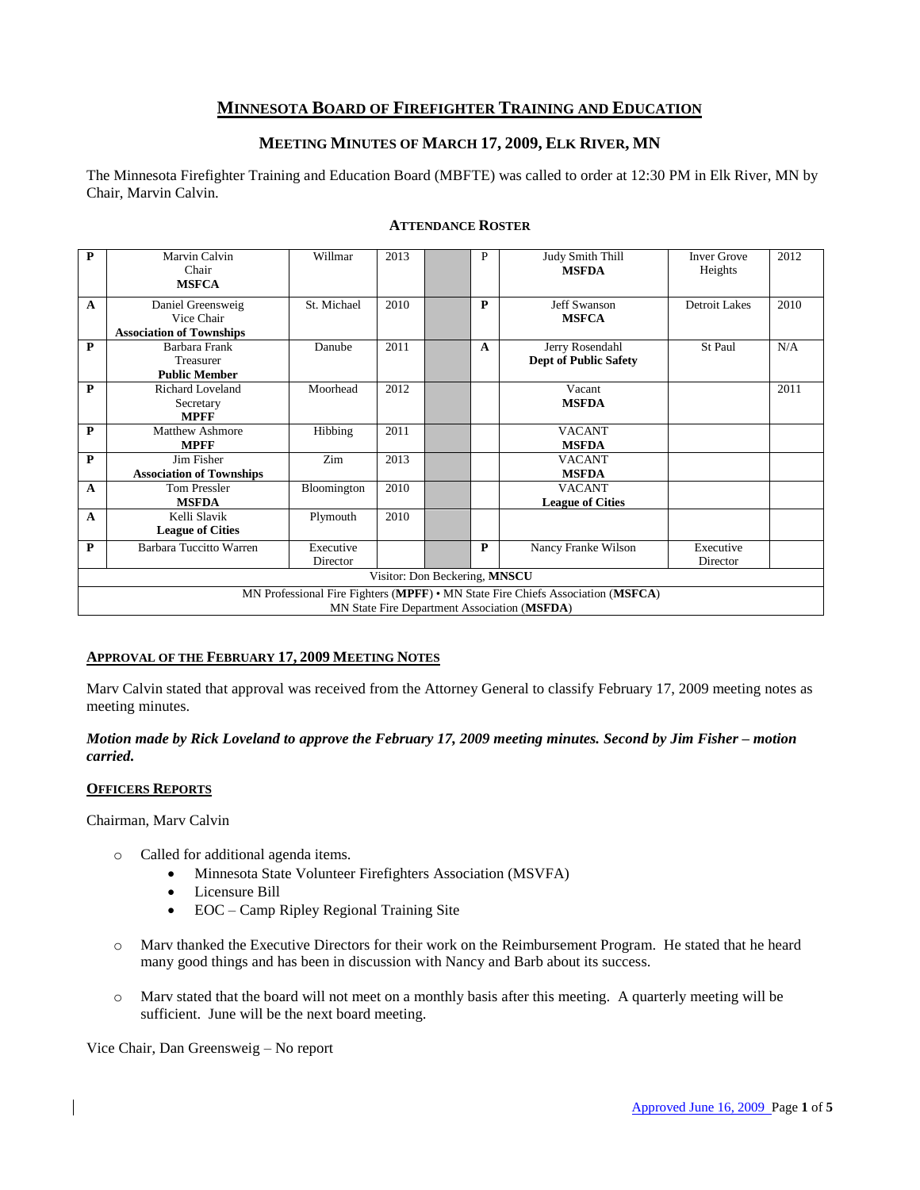# **MINNESOTA BOARD OF FIREFIGHTER TRAINING AND EDUCATION**

## **MEETING MINUTES OF MARCH 17, 2009, ELK RIVER, MN**

The Minnesota Firefighter Training and Education Board (MBFTE) was called to order at 12:30 PM in Elk River, MN by Chair, Marvin Calvin.

| P                                                                                                                               | Marvin Calvin<br>Chair<br><b>MSFCA</b>                             | Willmar               | 2013 |  | P            | Judy Smith Thill<br><b>MSFDA</b>                | <b>Inver Grove</b><br>Heights | 2012 |  |
|---------------------------------------------------------------------------------------------------------------------------------|--------------------------------------------------------------------|-----------------------|------|--|--------------|-------------------------------------------------|-------------------------------|------|--|
| $\mathbf{A}$                                                                                                                    | Daniel Greensweig<br>Vice Chair<br><b>Association of Townships</b> | St. Michael           | 2010 |  | P            | <b>Jeff Swanson</b><br><b>MSFCA</b>             | <b>Detroit Lakes</b>          | 2010 |  |
| P                                                                                                                               | Barbara Frank<br>Treasurer<br><b>Public Member</b>                 | Danube                | 2011 |  | $\mathbf{A}$ | Jerry Rosendahl<br><b>Dept of Public Safety</b> | St Paul                       | N/A  |  |
| $\mathbf{P}$                                                                                                                    | Richard Loveland<br>Secretary<br><b>MPFF</b>                       | Moorhead              | 2012 |  |              | Vacant<br><b>MSFDA</b>                          |                               | 2011 |  |
| P                                                                                                                               | Matthew Ashmore<br><b>MPFF</b>                                     | Hibbing               | 2011 |  |              | <b>VACANT</b><br><b>MSFDA</b>                   |                               |      |  |
| $\bf P$                                                                                                                         | Jim Fisher<br><b>Association of Townships</b>                      | Zim                   | 2013 |  |              | <b>VACANT</b><br><b>MSFDA</b>                   |                               |      |  |
| $\mathbf{A}$                                                                                                                    | <b>Tom Pressler</b><br><b>MSFDA</b>                                | Bloomington           | 2010 |  |              | <b>VACANT</b><br><b>League of Cities</b>        |                               |      |  |
| $\mathbf{A}$                                                                                                                    | Kelli Slavik<br><b>League of Cities</b>                            | Plymouth              | 2010 |  |              |                                                 |                               |      |  |
| P                                                                                                                               | Barbara Tuccitto Warren                                            | Executive<br>Director |      |  | P            | Nancy Franke Wilson                             | Executive<br>Director         |      |  |
| Visitor: Don Beckering, MNSCU                                                                                                   |                                                                    |                       |      |  |              |                                                 |                               |      |  |
| MN Professional Fire Fighters (MPFF) • MN State Fire Chiefs Association (MSFCA)<br>MN State Fire Department Association (MSFDA) |                                                                    |                       |      |  |              |                                                 |                               |      |  |

# **ATTENDANCE ROSTER**

### **APPROVAL OF THE FEBRUARY 17, 2009 MEETING NOTES**

Marv Calvin stated that approval was received from the Attorney General to classify February 17, 2009 meeting notes as meeting minutes.

*Motion made by Rick Loveland to approve the February 17, 2009 meeting minutes. Second by Jim Fisher – motion carried.*

#### **OFFICERS REPORTS**

Chairman, Marv Calvin

- o Called for additional agenda items.
	- Minnesota State Volunteer Firefighters Association (MSVFA)
	- Licensure Bill
	- EOC Camp Ripley Regional Training Site
- o Marv thanked the Executive Directors for their work on the Reimbursement Program. He stated that he heard many good things and has been in discussion with Nancy and Barb about its success.
- o Marv stated that the board will not meet on a monthly basis after this meeting. A quarterly meeting will be sufficient. June will be the next board meeting.

Vice Chair, Dan Greensweig – No report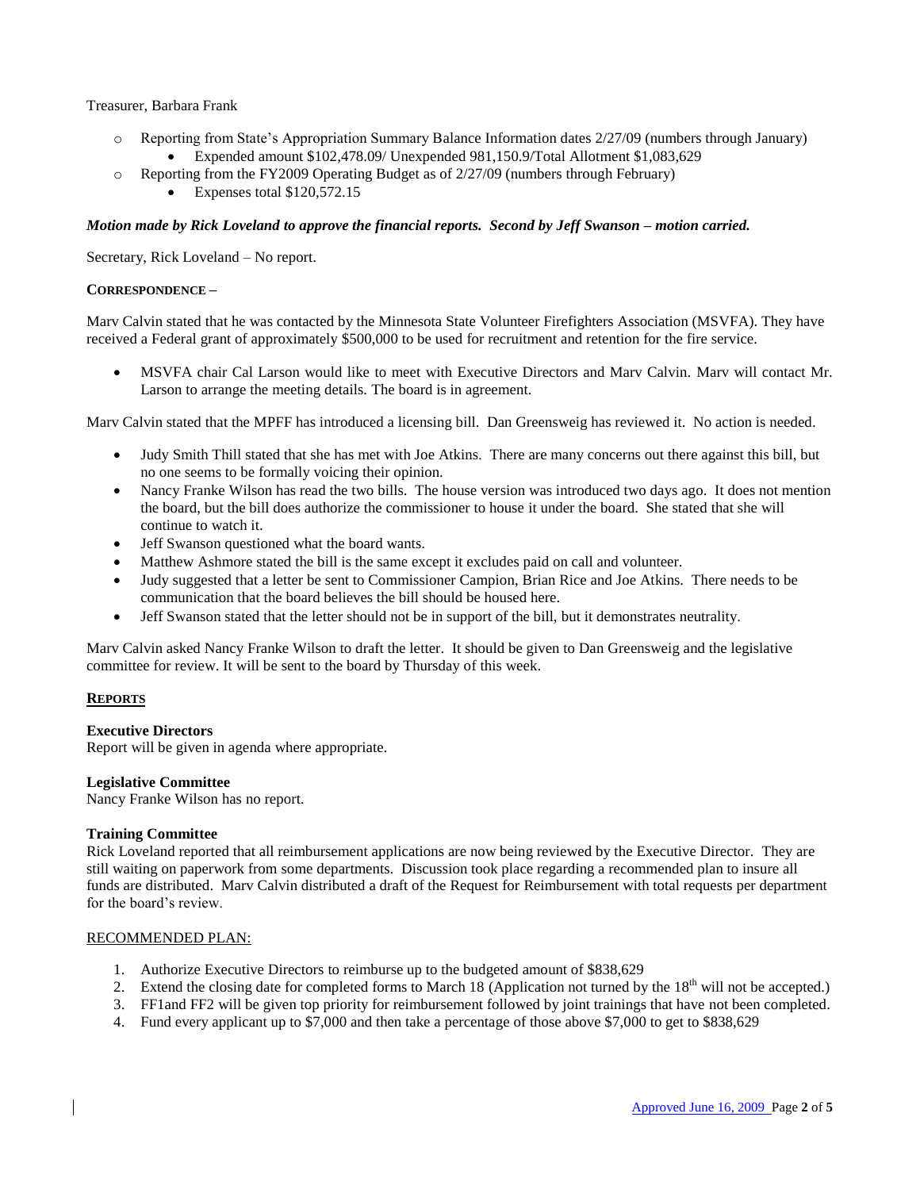#### Treasurer, Barbara Frank

- o Reporting from State's Appropriation Summary Balance Information dates 2/27/09 (numbers through January) Expended amount \$102,478.09/ Unexpended 981,150.9/Total Allotment \$1,083,629
- o Reporting from the FY2009 Operating Budget as of 2/27/09 (numbers through February)
	- $\bullet$  Expenses total \$120,572.15

#### *Motion made by Rick Loveland to approve the financial reports. Second by Jeff Swanson – motion carried.*

Secretary, Rick Loveland – No report.

#### **CORRESPONDENCE –**

Marv Calvin stated that he was contacted by the Minnesota State Volunteer Firefighters Association (MSVFA). They have received a Federal grant of approximately \$500,000 to be used for recruitment and retention for the fire service.

 MSVFA chair Cal Larson would like to meet with Executive Directors and Marv Calvin. Marv will contact Mr. Larson to arrange the meeting details. The board is in agreement.

Marv Calvin stated that the MPFF has introduced a licensing bill. Dan Greensweig has reviewed it. No action is needed.

- Judy Smith Thill stated that she has met with Joe Atkins. There are many concerns out there against this bill, but no one seems to be formally voicing their opinion.
- Nancy Franke Wilson has read the two bills. The house version was introduced two days ago. It does not mention the board, but the bill does authorize the commissioner to house it under the board. She stated that she will continue to watch it.
- Jeff Swanson questioned what the board wants.
- Matthew Ashmore stated the bill is the same except it excludes paid on call and volunteer.
- Judy suggested that a letter be sent to Commissioner Campion, Brian Rice and Joe Atkins. There needs to be communication that the board believes the bill should be housed here.
- Jeff Swanson stated that the letter should not be in support of the bill, but it demonstrates neutrality.

Marv Calvin asked Nancy Franke Wilson to draft the letter. It should be given to Dan Greensweig and the legislative committee for review. It will be sent to the board by Thursday of this week.

### **REPORTS**

#### **Executive Directors**

Report will be given in agenda where appropriate.

#### **Legislative Committee**

Nancy Franke Wilson has no report.

#### **Training Committee**

Rick Loveland reported that all reimbursement applications are now being reviewed by the Executive Director. They are still waiting on paperwork from some departments. Discussion took place regarding a recommended plan to insure all funds are distributed. Marv Calvin distributed a draft of the Request for Reimbursement with total requests per department for the board's review.

#### RECOMMENDED PLAN:

- 1. Authorize Executive Directors to reimburse up to the budgeted amount of \$838,629
- 2. Extend the closing date for completed forms to March 18 (Application not turned by the  $18<sup>th</sup>$  will not be accepted.)
- 3. FF1and FF2 will be given top priority for reimbursement followed by joint trainings that have not been completed.
- 4. Fund every applicant up to \$7,000 and then take a percentage of those above \$7,000 to get to \$838,629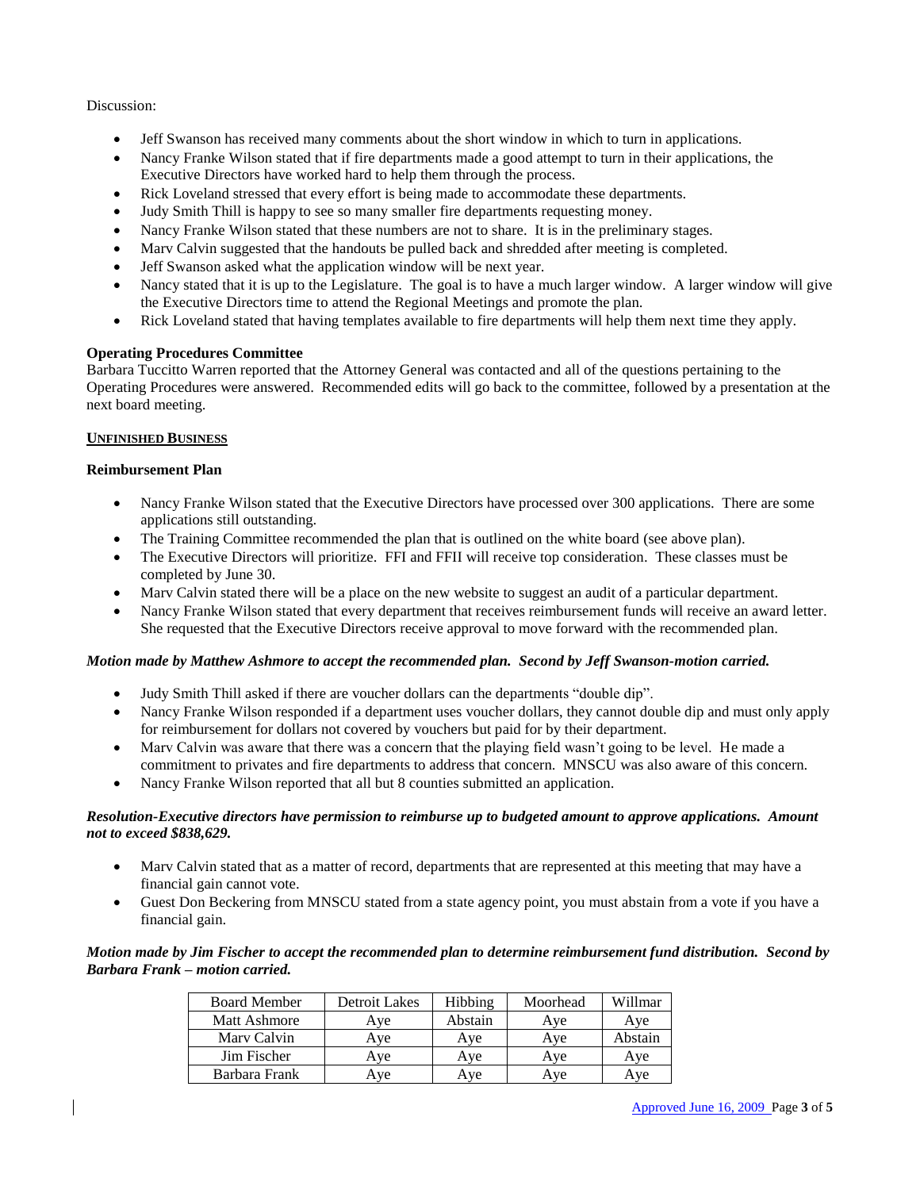### Discussion:

- Jeff Swanson has received many comments about the short window in which to turn in applications.
- Nancy Franke Wilson stated that if fire departments made a good attempt to turn in their applications, the Executive Directors have worked hard to help them through the process.
- Rick Loveland stressed that every effort is being made to accommodate these departments.
- Judy Smith Thill is happy to see so many smaller fire departments requesting money.
- Nancy Franke Wilson stated that these numbers are not to share. It is in the preliminary stages.
- Marv Calvin suggested that the handouts be pulled back and shredded after meeting is completed.
- Jeff Swanson asked what the application window will be next year.
- Nancy stated that it is up to the Legislature. The goal is to have a much larger window. A larger window will give the Executive Directors time to attend the Regional Meetings and promote the plan.
- Rick Loveland stated that having templates available to fire departments will help them next time they apply.

### **Operating Procedures Committee**

Barbara Tuccitto Warren reported that the Attorney General was contacted and all of the questions pertaining to the Operating Procedures were answered. Recommended edits will go back to the committee, followed by a presentation at the next board meeting.

### **UNFINISHED BUSINESS**

#### **Reimbursement Plan**

- Nancy Franke Wilson stated that the Executive Directors have processed over 300 applications. There are some applications still outstanding.
- The Training Committee recommended the plan that is outlined on the white board (see above plan).
- The Executive Directors will prioritize. FFI and FFII will receive top consideration. These classes must be completed by June 30.
- Marv Calvin stated there will be a place on the new website to suggest an audit of a particular department.
- Nancy Franke Wilson stated that every department that receives reimbursement funds will receive an award letter. She requested that the Executive Directors receive approval to move forward with the recommended plan.

#### *Motion made by Matthew Ashmore to accept the recommended plan. Second by Jeff Swanson-motion carried.*

- Judy Smith Thill asked if there are voucher dollars can the departments "double dip".
- Nancy Franke Wilson responded if a department uses voucher dollars, they cannot double dip and must only apply for reimbursement for dollars not covered by vouchers but paid for by their department.
- Marv Calvin was aware that there was a concern that the playing field wasn't going to be level. He made a commitment to privates and fire departments to address that concern. MNSCU was also aware of this concern.
- Nancy Franke Wilson reported that all but 8 counties submitted an application.

### *Resolution-Executive directors have permission to reimburse up to budgeted amount to approve applications. Amount not to exceed \$838,629.*

- Marv Calvin stated that as a matter of record, departments that are represented at this meeting that may have a financial gain cannot vote.
- Guest Don Beckering from MNSCU stated from a state agency point, you must abstain from a vote if you have a financial gain.

### *Motion made by Jim Fischer to accept the recommended plan to determine reimbursement fund distribution. Second by Barbara Frank – motion carried.*

| <b>Board Member</b> | Detroit Lakes | Hibbing | Moorhead | Willmar |
|---------------------|---------------|---------|----------|---------|
| Matt Ashmore        | Ave           | Abstain | Ave      | Aye     |
| Mary Calvin         | Ave           | Ave     | Ave      | Abstain |
| Jim Fischer         | Ave           | Ave     | Ave      | Ave     |
| Barbara Frank       | Aye           | Ave     | Aye      | Aye     |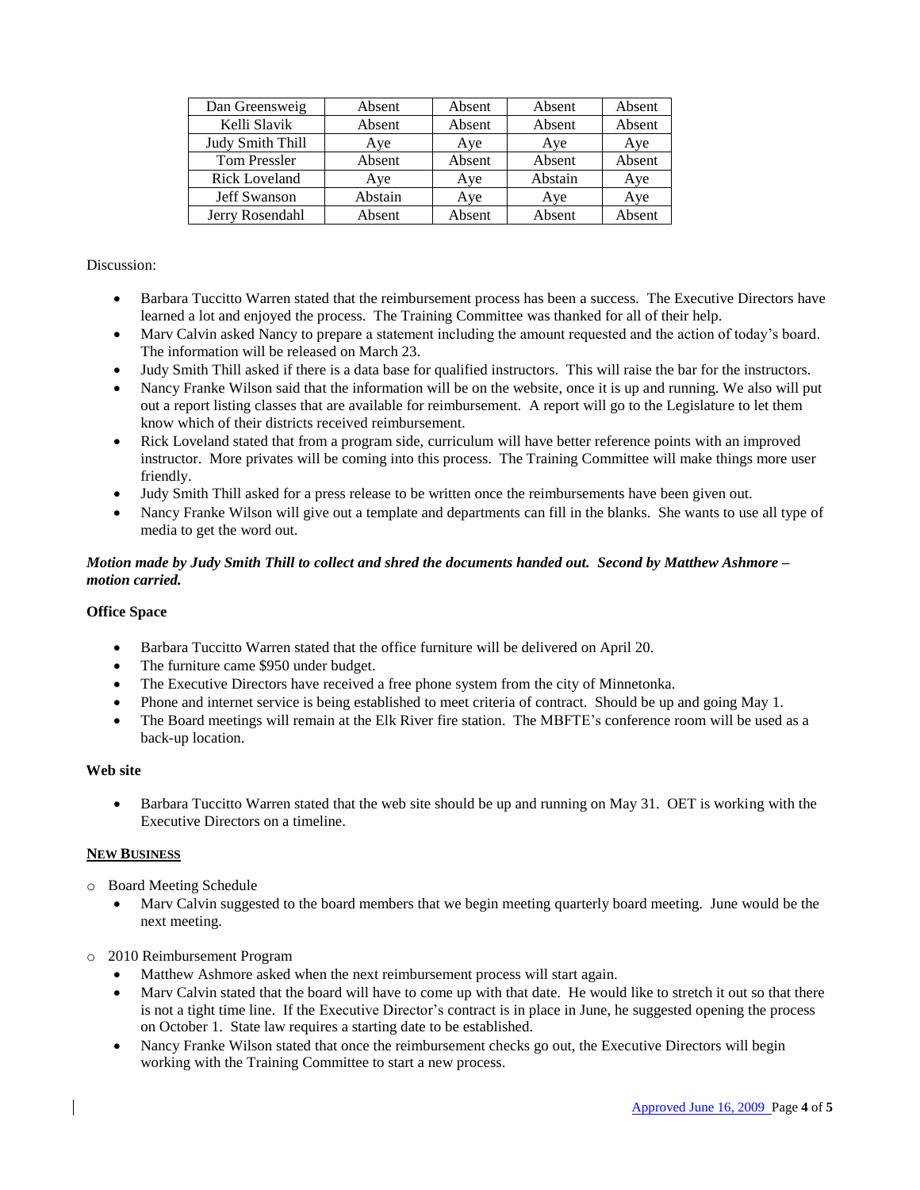| Dan Greensweig       | Absent  | Absent | Absent  | Absent |
|----------------------|---------|--------|---------|--------|
| Kelli Slavik         | Absent  | Absent | Absent  | Absent |
| Judy Smith Thill     | Aye     | Aye    | Aye     | Aye    |
| <b>Tom Pressler</b>  | Absent  | Absent | Absent  | Absent |
| <b>Rick Loveland</b> | Aye     | Aye    | Abstain | Aye    |
| <b>Jeff Swanson</b>  | Abstain | Ave    | Ave     | Ave    |
| Jerry Rosendahl      | Absent  | Absent | Absent  | Absent |

### Discussion:

- Barbara Tuccitto Warren stated that the reimbursement process has been a success. The Executive Directors have learned a lot and enjoyed the process. The Training Committee was thanked for all of their help.
- Marv Calvin asked Nancy to prepare a statement including the amount requested and the action of today's board. The information will be released on March 23.
- Judy Smith Thill asked if there is a data base for qualified instructors. This will raise the bar for the instructors.
- Nancy Franke Wilson said that the information will be on the website, once it is up and running. We also will put out a report listing classes that are available for reimbursement. A report will go to the Legislature to let them know which of their districts received reimbursement.
- Rick Loveland stated that from a program side, curriculum will have better reference points with an improved instructor. More privates will be coming into this process. The Training Committee will make things more user friendly.
- Judy Smith Thill asked for a press release to be written once the reimbursements have been given out.
- Nancy Franke Wilson will give out a template and departments can fill in the blanks. She wants to use all type of media to get the word out.

# *Motion made by Judy Smith Thill to collect and shred the documents handed out. Second by Matthew Ashmore – motion carried.*

### **Office Space**

- Barbara Tuccitto Warren stated that the office furniture will be delivered on April 20.
- The furniture came \$950 under budget.
- The Executive Directors have received a free phone system from the city of Minnetonka.
- Phone and internet service is being established to meet criteria of contract. Should be up and going May 1.
- The Board meetings will remain at the Elk River fire station. The MBFTE's conference room will be used as a back-up location.

### **Web site**

• Barbara Tuccitto Warren stated that the web site should be up and running on May 31. OET is working with the Executive Directors on a timeline.

### **NEW BUSINESS**

- o Board Meeting Schedule
	- Marv Calvin suggested to the board members that we begin meeting quarterly board meeting. June would be the next meeting.
- o 2010 Reimbursement Program
	- Matthew Ashmore asked when the next reimbursement process will start again.
	- Marv Calvin stated that the board will have to come up with that date. He would like to stretch it out so that there is not a tight time line. If the Executive Director's contract is in place in June, he suggested opening the process on October 1. State law requires a starting date to be established.
	- Nancy Franke Wilson stated that once the reimbursement checks go out, the Executive Directors will begin working with the Training Committee to start a new process.